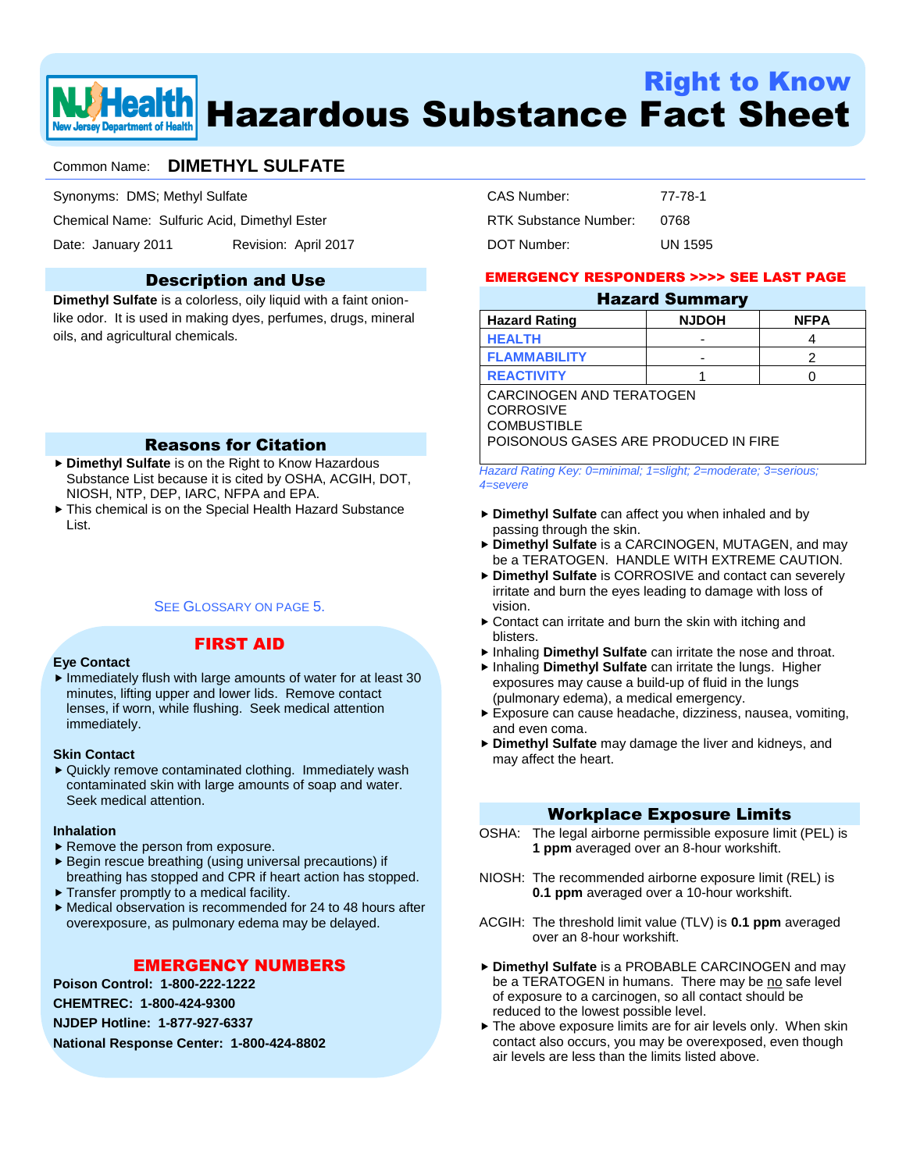

# Right to Know Hazardous Substance Fact Sheet

# Common Name: **DIMETHYL SULFATE**

Synonyms: DMS; Methyl Sulfate

Chemical Name: Sulfuric Acid, Dimethyl Ester

Date: January 2011 Revision: April 2017

#### Description and Use

**Dimethyl Sulfate** is a colorless, oily liquid with a faint onionlike odor. It is used in making dyes, perfumes, drugs, mineral oils, and agricultural chemicals.

#### Reasons for Citation

- **Dimethyl Sulfate** is on the Right to Know Hazardous Substance List because it is cited by OSHA, ACGIH, DOT, NIOSH, NTP, DEP, IARC, NFPA and EPA.
- This chemical is on the Special Health Hazard Substance List.

#### SEE GLOSSARY ON PAGE 5

#### FIRST AID

#### **Eye Contact**

 $\blacktriangleright$  Immediately flush with large amounts of water for at least 30 minutes, lifting upper and lower lids. Remove contact lenses, if worn, while flushing. Seek medical attention immediately.

#### **Skin Contact**

▶ Quickly remove contaminated clothing. Immediately wash contaminated skin with large amounts of soap and water. Seek medical attention.

#### **Inhalation**

- Remove the person from exposure.
- Begin rescue breathing (using universal precautions) if breathing has stopped and CPR if heart action has stopped.
- $\blacktriangleright$  Transfer promptly to a medical facility.
- Medical observation is recommended for 24 to 48 hours after overexposure, as pulmonary edema may be delayed.

#### EMERGENCY NUMBERS

**Poison Control: 1-800-222-1222 CHEMTREC: 1-800-424-9300 NJDEP Hotline: 1-877-927-6337 National Response Center: 1-800-424-8802**

| CAS Number:           | 77-78-1 |
|-----------------------|---------|
| RTK Substance Number: | 0768    |
| DOT Number:           | UN 1595 |

#### EMERGENCY RESPONDERS >>>> SEE LAST PAGE

| <b>Hazard Summary</b> |              |             |  |
|-----------------------|--------------|-------------|--|
| Hazard Rating         | <b>NJDOH</b> | <b>NFPA</b> |  |
| <b>HEALTH</b>         |              |             |  |
| <b>FLAMMABILITY</b>   | -            |             |  |
|                       |              |             |  |

**REACTIVITY** 1 0 CARCINOGEN AND TERATOGEN CORROSIVE **COMBUSTIBLE** POISONOUS GASES ARE PRODUCED IN FIRE

*Hazard Rating Key: 0=minimal; 1=slight; 2=moderate; 3=serious; 4=severe*

- **Dimethyl Sulfate** can affect you when inhaled and by passing through the skin.
- **Dimethyl Sulfate** is a CARCINOGEN, MUTAGEN, and may be a TERATOGEN. HANDLE WITH EXTREME CAUTION.
- **Dimethyl Sulfate** is CORROSIVE and contact can severely irritate and burn the eyes leading to damage with loss of vision.
- ▶ Contact can irritate and burn the skin with itching and blisters.
- Inhaling **Dimethyl Sulfate** can irritate the nose and throat.
- Inhaling **Dimethyl Sulfate** can irritate the lungs. Higher exposures may cause a build-up of fluid in the lungs (pulmonary edema), a medical emergency.
- Exposure can cause headache, dizziness, nausea, vomiting, and even coma.
- **Dimethyl Sulfate** may damage the liver and kidneys, and may affect the heart.

#### Workplace Exposure Limits

- OSHA: The legal airborne permissible exposure limit (PEL) is **1 ppm** averaged over an 8-hour workshift.
- NIOSH: The recommended airborne exposure limit (REL) is **0.1 ppm** averaged over a 10-hour workshift.
- ACGIH: The threshold limit value (TLV) is **0.1 ppm** averaged over an 8-hour workshift.
- **Dimethyl Sulfate** is a PROBABLE CARCINOGEN and may be a TERATOGEN in humans. There may be no safe level of exposure to a carcinogen, so all contact should be reduced to the lowest possible level.
- The above exposure limits are for air levels only. When skin contact also occurs, you may be overexposed, even though air levels are less than the limits listed above.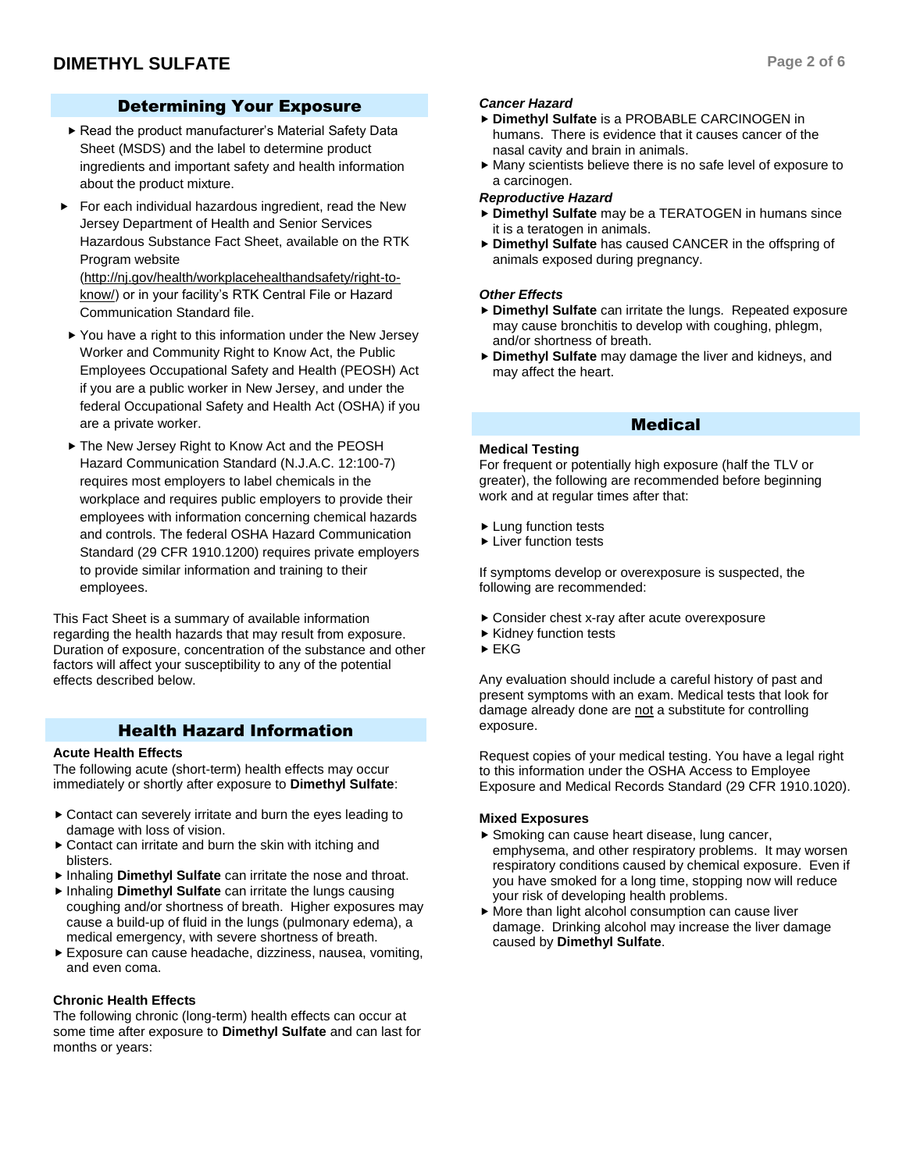### Determining Your Exposure

- Read the product manufacturer's Material Safety Data Sheet (MSDS) and the label to determine product ingredients and important safety and health information about the product mixture.
- For each individual hazardous ingredient, read the New Jersey Department of Health and Senior Services Hazardous Substance Fact Sheet, available on the RTK Program website (http://nj.gov/health/workplacehealthandsafety/right-to-

know/) or in your facility's RTK Central File or Hazard Communication Standard file.

- ▶ You have a right to this information under the New Jersey Worker and Community Right to Know Act, the Public Employees Occupational Safety and Health (PEOSH) Act if you are a public worker in New Jersey, and under the federal Occupational Safety and Health Act (OSHA) if you are a private worker.
- ▶ The New Jersey Right to Know Act and the PEOSH Hazard Communication Standard (N.J.A.C. 12:100-7) requires most employers to label chemicals in the workplace and requires public employers to provide their employees with information concerning chemical hazards and controls. The federal OSHA Hazard Communication Standard (29 CFR 1910.1200) requires private employers to provide similar information and training to their employees.

This Fact Sheet is a summary of available information regarding the health hazards that may result from exposure. Duration of exposure, concentration of the substance and other factors will affect your susceptibility to any of the potential effects described below.

#### Health Hazard Information

#### **Acute Health Effects**

The following acute (short-term) health effects may occur immediately or shortly after exposure to **Dimethyl Sulfate**:

- ▶ Contact can severely irritate and burn the eyes leading to damage with loss of vision.
- Contact can irritate and burn the skin with itching and blisters.
- Inhaling **Dimethyl Sulfate** can irritate the nose and throat.
- Inhaling **Dimethyl Sulfate** can irritate the lungs causing coughing and/or shortness of breath. Higher exposures may cause a build-up of fluid in the lungs (pulmonary edema), a medical emergency, with severe shortness of breath.
- Exposure can cause headache, dizziness, nausea, vomiting, and even coma.

#### **Chronic Health Effects**

The following chronic (long-term) health effects can occur at some time after exposure to **Dimethyl Sulfate** and can last for months or years:

#### *Cancer Hazard*

- **Dimethyl Sulfate** is a PROBABLE CARCINOGEN in humans. There is evidence that it causes cancer of the nasal cavity and brain in animals.
- Many scientists believe there is no safe level of exposure to a carcinogen.

#### *Reproductive Hazard*

- **Dimethyl Sulfate** may be a TERATOGEN in humans since it is a teratogen in animals.
- **Dimethyl Sulfate** has caused CANCER in the offspring of animals exposed during pregnancy.

#### *Other Effects*

- **Dimethyl Sulfate** can irritate the lungs. Repeated exposure may cause bronchitis to develop with coughing, phlegm, and/or shortness of breath.
- **Dimethyl Sulfate** may damage the liver and kidneys, and may affect the heart.

#### Medical

#### **Medical Testing**

For frequent or potentially high exposure (half the TLV or greater), the following are recommended before beginning work and at regular times after that:

- **Lung function tests**
- **Liver function tests**

If symptoms develop or overexposure is suspected, the following are recommended:

- Consider chest x-ray after acute overexposure
- $\blacktriangleright$  Kidney function tests
- $\blacktriangleright$  EKG

Any evaluation should include a careful history of past and present symptoms with an exam. Medical tests that look for damage already done are not a substitute for controlling exposure.

Request copies of your medical testing. You have a legal right to this information under the OSHA Access to Employee Exposure and Medical Records Standard (29 CFR 1910.1020).

#### **Mixed Exposures**

- ▶ Smoking can cause heart disease, lung cancer, emphysema, and other respiratory problems. It may worsen respiratory conditions caused by chemical exposure. Even if you have smoked for a long time, stopping now will reduce your risk of developing health problems.
- More than light alcohol consumption can cause liver damage. Drinking alcohol may increase the liver damage caused by **Dimethyl Sulfate**.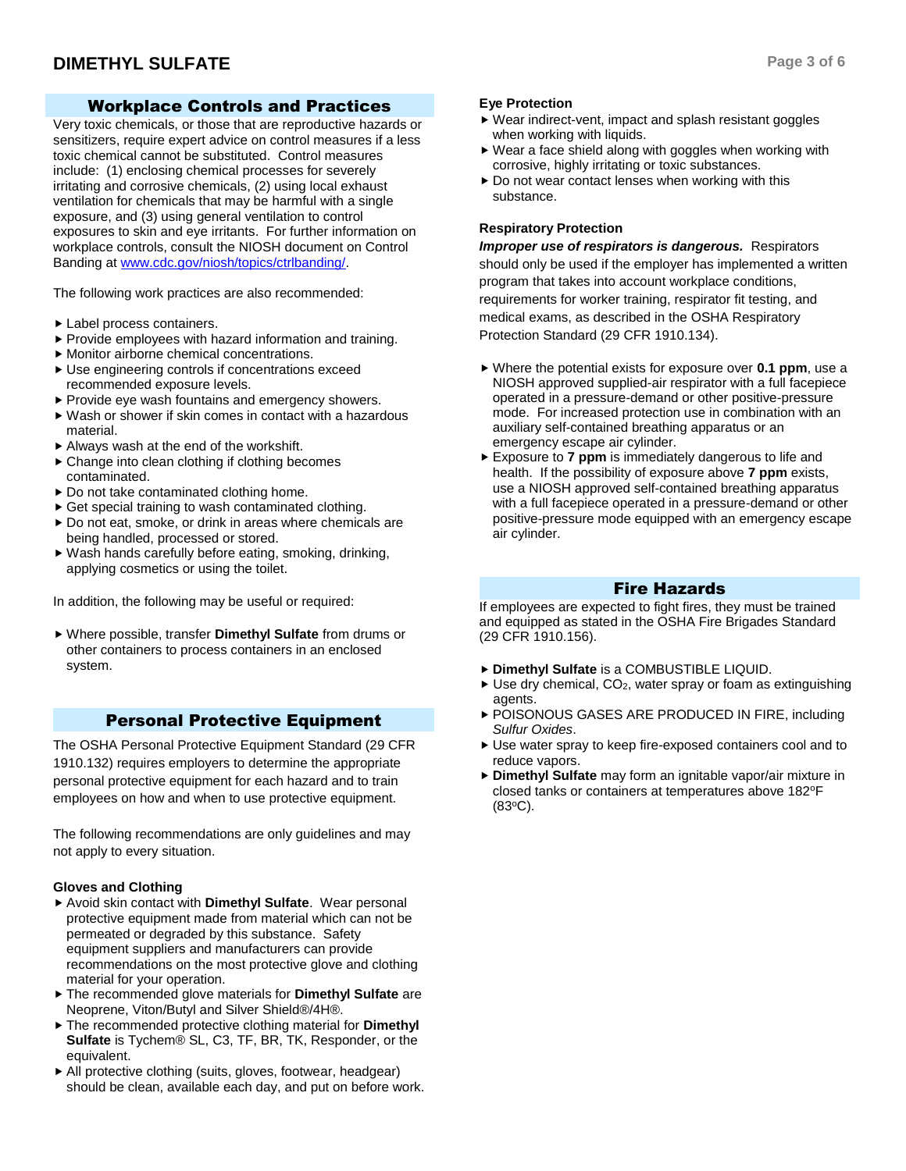### Workplace Controls and Practices

Very toxic chemicals, or those that are reproductive hazards or sensitizers, require expert advice on control measures if a less toxic chemical cannot be substituted. Control measures include: (1) enclosing chemical processes for severely irritating and corrosive chemicals, (2) using local exhaust ventilation for chemicals that may be harmful with a single exposure, and (3) using general ventilation to control exposures to skin and eye irritants. For further information on workplace controls, consult the NIOSH document on Control Banding a[t www.cdc.gov/niosh/topics/ctrlbanding/.](http://www.cdc.gov/niosh/topics/ctrlbanding/)

The following work practices are also recommended:

- Label process containers.
- $\blacktriangleright$  Provide employees with hazard information and training.
- Monitor airborne chemical concentrations.
- Use engineering controls if concentrations exceed recommended exposure levels.
- ▶ Provide eye wash fountains and emergency showers.
- Wash or shower if skin comes in contact with a hazardous material.
- Always wash at the end of the workshift.
- ▶ Change into clean clothing if clothing becomes contaminated.
- ▶ Do not take contaminated clothing home.
- ▶ Get special training to wash contaminated clothing.
- ▶ Do not eat, smoke, or drink in areas where chemicals are being handled, processed or stored.
- Wash hands carefully before eating, smoking, drinking, applying cosmetics or using the toilet.

In addition, the following may be useful or required:

 Where possible, transfer **Dimethyl Sulfate** from drums or other containers to process containers in an enclosed system.

#### Personal Protective Equipment

The OSHA Personal Protective Equipment Standard (29 CFR 1910.132) requires employers to determine the appropriate personal protective equipment for each hazard and to train employees on how and when to use protective equipment.

The following recommendations are only guidelines and may not apply to every situation.

#### **Gloves and Clothing**

- Avoid skin contact with **Dimethyl Sulfate**. Wear personal protective equipment made from material which can not be permeated or degraded by this substance. Safety equipment suppliers and manufacturers can provide recommendations on the most protective glove and clothing material for your operation.
- The recommended glove materials for **Dimethyl Sulfate** are Neoprene, Viton/Butyl and Silver Shield®/4H®.
- The recommended protective clothing material for **Dimethyl Sulfate** is Tychem® SL, C3, TF, BR, TK, Responder, or the equivalent.
- All protective clothing (suits, gloves, footwear, headgear) should be clean, available each day, and put on before work.

#### **Eye Protection**

- Wear indirect-vent, impact and splash resistant goggles when working with liquids.
- Wear a face shield along with goggles when working with corrosive, highly irritating or toxic substances.
- $\triangleright$  Do not wear contact lenses when working with this substance.

#### **Respiratory Protection**

*Improper use of respirators is dangerous.* Respirators should only be used if the employer has implemented a written program that takes into account workplace conditions, requirements for worker training, respirator fit testing, and medical exams, as described in the OSHA Respiratory Protection Standard (29 CFR 1910.134).

- Where the potential exists for exposure over **0.1 ppm**, use a NIOSH approved supplied-air respirator with a full facepiece operated in a pressure-demand or other positive-pressure mode. For increased protection use in combination with an auxiliary self-contained breathing apparatus or an emergency escape air cylinder.
- Exposure to **7 ppm** is immediately dangerous to life and health. If the possibility of exposure above **7 ppm** exists, use a NIOSH approved self-contained breathing apparatus with a full facepiece operated in a pressure-demand or other positive-pressure mode equipped with an emergency escape air cylinder.

#### Fire Hazards

If employees are expected to fight fires, they must be trained and equipped as stated in the OSHA Fire Brigades Standard (29 CFR 1910.156).

- **Dimethyl Sulfate** is a COMBUSTIBLE LIQUID.
- $\triangleright$  Use dry chemical, CO<sub>2</sub>, water spray or foam as extinguishing agents.
- POISONOUS GASES ARE PRODUCED IN FIRE, including *Sulfur Oxides*.
- Use water spray to keep fire-exposed containers cool and to reduce vapors.
- **Dimethyl Sulfate** may form an ignitable vapor/air mixture in closed tanks or containers at temperatures above 182°F  $(83^{\circ}C)$ .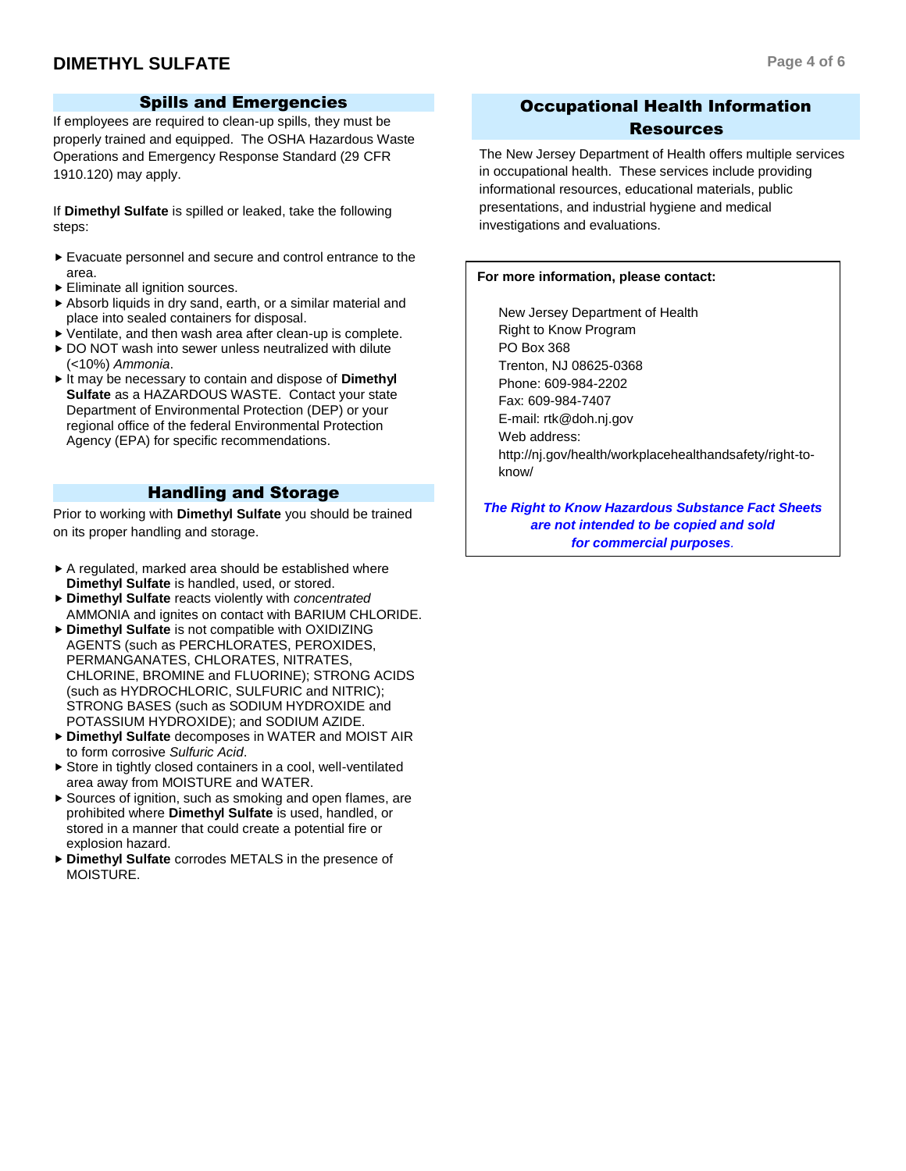# **DIMETHYL SULFATE Page 4 of 6**

#### Spills and Emergencies

If employees are required to clean-up spills, they must be properly trained and equipped. The OSHA Hazardous Waste Operations and Emergency Response Standard (29 CFR 1910.120) may apply.

If **Dimethyl Sulfate** is spilled or leaked, take the following steps:

- Evacuate personnel and secure and control entrance to the area.
- Eliminate all ignition sources.
- Absorb liquids in dry sand, earth, or a similar material and place into sealed containers for disposal.
- Ventilate, and then wash area after clean-up is complete.
- ▶ DO NOT wash into sewer unless neutralized with dilute (<10%) *Ammonia*.
- ► It may be necessary to contain and dispose of **Dimethyl Sulfate** as a HAZARDOUS WASTE. Contact your state Department of Environmental Protection (DEP) or your regional office of the federal Environmental Protection Agency (EPA) for specific recommendations.

### Handling and Storage

Prior to working with **Dimethyl Sulfate** you should be trained on its proper handling and storage.

- A regulated, marked area should be established where **Dimethyl Sulfate** is handled, used, or stored.
- **Dimethyl Sulfate** reacts violently with *concentrated* AMMONIA and ignites on contact with BARIUM CHLORIDE.
- **Dimethyl Sulfate** is not compatible with OXIDIZING AGENTS (such as PERCHLORATES, PEROXIDES, PERMANGANATES, CHLORATES, NITRATES, CHLORINE, BROMINE and FLUORINE); STRONG ACIDS (such as HYDROCHLORIC, SULFURIC and NITRIC); STRONG BASES (such as SODIUM HYDROXIDE and POTASSIUM HYDROXIDE); and SODIUM AZIDE.
- **Dimethyl Sulfate** decomposes in WATER and MOIST AIR to form corrosive *Sulfuric Acid*.
- Store in tightly closed containers in a cool, well-ventilated area away from MOISTURE and WATER.
- ▶ Sources of ignition, such as smoking and open flames, are prohibited where **Dimethyl Sulfate** is used, handled, or stored in a manner that could create a potential fire or explosion hazard.
- **Dimethyl Sulfate** corrodes METALS in the presence of MOISTURE.

# Occupational Health Information Resources

The New Jersey Department of Health offers multiple services in occupational health. These services include providing informational resources, educational materials, public presentations, and industrial hygiene and medical investigations and evaluations.

#### **For more information, please contact:**

New Jersey Department of Health Right to Know Program PO Box 368 Trenton, NJ 08625-0368 Phone: 609-984-2202 Fax: 609-984-7407 E-mail: rtk@doh.nj.gov Web address: http://nj.gov/health/workplacehealthandsafety/right-toknow/

*The Right to Know Hazardous Substance Fact Sheets are not intended to be copied and sold for commercial purposes.*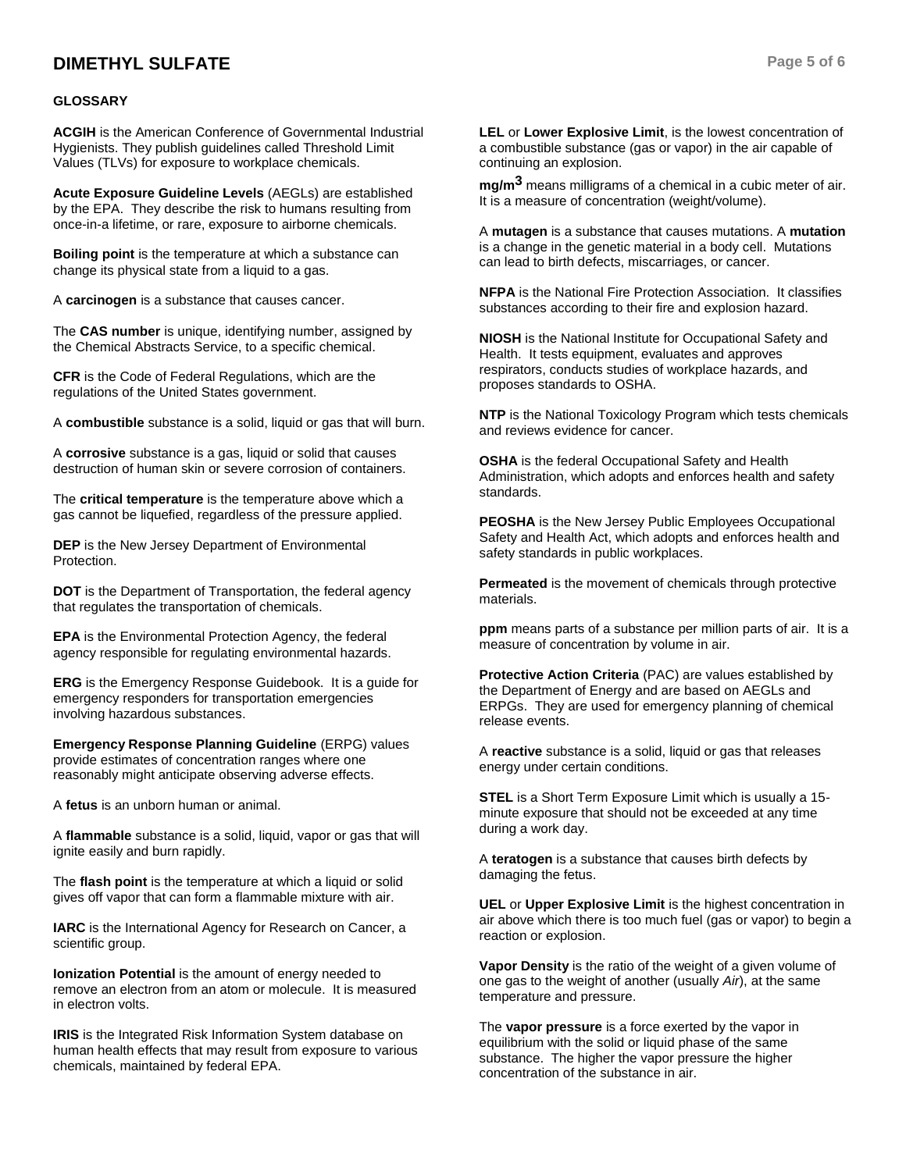# **DIMETHYL SULFATE Page 5 of 6**

#### **GLOSSARY**

**ACGIH** is the American Conference of Governmental Industrial Hygienists. They publish guidelines called Threshold Limit Values (TLVs) for exposure to workplace chemicals.

**Acute Exposure Guideline Levels** (AEGLs) are established by the EPA. They describe the risk to humans resulting from once-in-a lifetime, or rare, exposure to airborne chemicals.

**Boiling point** is the temperature at which a substance can change its physical state from a liquid to a gas.

A **carcinogen** is a substance that causes cancer.

The **CAS number** is unique, identifying number, assigned by the Chemical Abstracts Service, to a specific chemical.

**CFR** is the Code of Federal Regulations, which are the regulations of the United States government.

A **combustible** substance is a solid, liquid or gas that will burn.

A **corrosive** substance is a gas, liquid or solid that causes destruction of human skin or severe corrosion of containers.

The **critical temperature** is the temperature above which a gas cannot be liquefied, regardless of the pressure applied.

**DEP** is the New Jersey Department of Environmental Protection.

**DOT** is the Department of Transportation, the federal agency that regulates the transportation of chemicals.

**EPA** is the Environmental Protection Agency, the federal agency responsible for regulating environmental hazards.

**ERG** is the Emergency Response Guidebook. It is a guide for emergency responders for transportation emergencies involving hazardous substances.

**Emergency Response Planning Guideline** (ERPG) values provide estimates of concentration ranges where one reasonably might anticipate observing adverse effects.

A **fetus** is an unborn human or animal.

A **flammable** substance is a solid, liquid, vapor or gas that will ignite easily and burn rapidly.

The **flash point** is the temperature at which a liquid or solid gives off vapor that can form a flammable mixture with air.

**IARC** is the International Agency for Research on Cancer, a scientific group.

**Ionization Potential** is the amount of energy needed to remove an electron from an atom or molecule. It is measured in electron volts.

**IRIS** is the Integrated Risk Information System database on human health effects that may result from exposure to various chemicals, maintained by federal EPA.

**LEL** or **Lower Explosive Limit**, is the lowest concentration of a combustible substance (gas or vapor) in the air capable of continuing an explosion.

**mg/m3** means milligrams of a chemical in a cubic meter of air. It is a measure of concentration (weight/volume).

A **mutagen** is a substance that causes mutations. A **mutation** is a change in the genetic material in a body cell. Mutations can lead to birth defects, miscarriages, or cancer.

**NFPA** is the National Fire Protection Association. It classifies substances according to their fire and explosion hazard.

**NIOSH** is the National Institute for Occupational Safety and Health. It tests equipment, evaluates and approves respirators, conducts studies of workplace hazards, and proposes standards to OSHA.

**NTP** is the National Toxicology Program which tests chemicals and reviews evidence for cancer.

**OSHA** is the federal Occupational Safety and Health Administration, which adopts and enforces health and safety standards.

**PEOSHA** is the New Jersey Public Employees Occupational Safety and Health Act, which adopts and enforces health and safety standards in public workplaces.

**Permeated** is the movement of chemicals through protective materials.

**ppm** means parts of a substance per million parts of air. It is a measure of concentration by volume in air.

**Protective Action Criteria** (PAC) are values established by the Department of Energy and are based on AEGLs and ERPGs. They are used for emergency planning of chemical release events.

A **reactive** substance is a solid, liquid or gas that releases energy under certain conditions.

**STEL** is a Short Term Exposure Limit which is usually a 15 minute exposure that should not be exceeded at any time during a work day.

A **teratogen** is a substance that causes birth defects by damaging the fetus.

**UEL** or **Upper Explosive Limit** is the highest concentration in air above which there is too much fuel (gas or vapor) to begin a reaction or explosion.

**Vapor Density** is the ratio of the weight of a given volume of one gas to the weight of another (usually *Air*), at the same temperature and pressure.

The **vapor pressure** is a force exerted by the vapor in equilibrium with the solid or liquid phase of the same substance. The higher the vapor pressure the higher concentration of the substance in air.